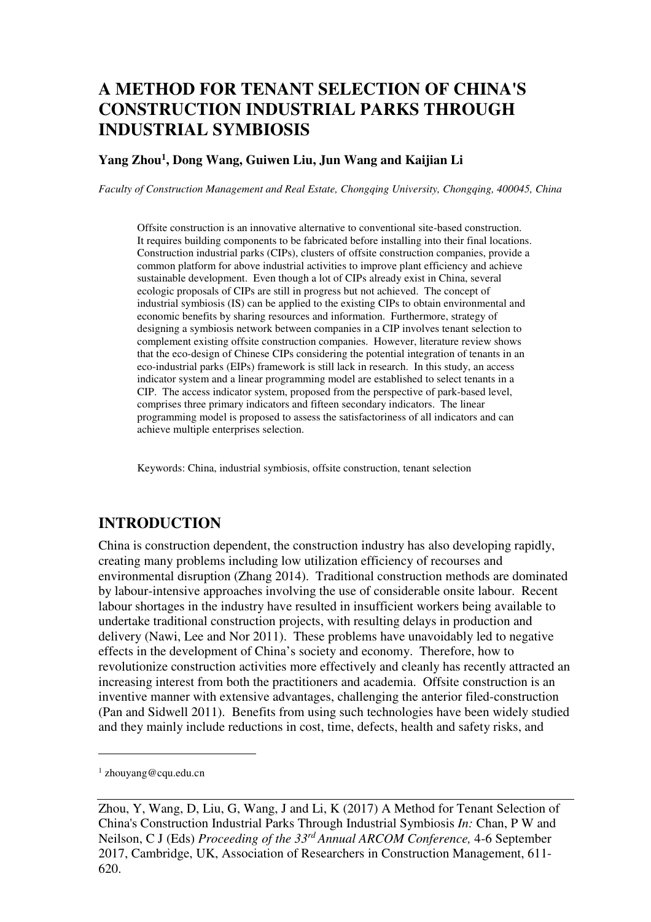# **A METHOD FOR TENANT SELECTION OF CHINA'S CONSTRUCTION INDUSTRIAL PARKS THROUGH INDUSTRIAL SYMBIOSIS**

#### **Yang Zhou<sup>1</sup> , Dong Wang, Guiwen Liu, Jun Wang and Kaijian Li**

*Faculty of Construction Management and Real Estate, Chongqing University, Chongqing, 400045, China* 

Offsite construction is an innovative alternative to conventional site-based construction. It requires building components to be fabricated before installing into their final locations. Construction industrial parks (CIPs), clusters of offsite construction companies, provide a common platform for above industrial activities to improve plant efficiency and achieve sustainable development. Even though a lot of CIPs already exist in China, several ecologic proposals of CIPs are still in progress but not achieved. The concept of industrial symbiosis (IS) can be applied to the existing CIPs to obtain environmental and economic benefits by sharing resources and information. Furthermore, strategy of designing a symbiosis network between companies in a CIP involves tenant selection to complement existing offsite construction companies. However, literature review shows that the eco-design of Chinese CIPs considering the potential integration of tenants in an eco-industrial parks (EIPs) framework is still lack in research. In this study, an access indicator system and a linear programming model are established to select tenants in a CIP. The access indicator system, proposed from the perspective of park-based level, comprises three primary indicators and fifteen secondary indicators. The linear programming model is proposed to assess the satisfactoriness of all indicators and can achieve multiple enterprises selection.

Keywords: China, industrial symbiosis, offsite construction, tenant selection

## **INTRODUCTION**

China is construction dependent, the construction industry has also developing rapidly, creating many problems including low utilization efficiency of recourses and environmental disruption (Zhang 2014). Traditional construction methods are dominated by labour-intensive approaches involving the use of considerable onsite labour. Recent labour shortages in the industry have resulted in insufficient workers being available to undertake traditional construction projects, with resulting delays in production and delivery (Nawi, Lee and Nor 2011). These problems have unavoidably led to negative effects in the development of China's society and economy. Therefore, how to revolutionize construction activities more effectively and cleanly has recently attracted an increasing interest from both the practitioners and academia. Offsite construction is an inventive manner with extensive advantages, challenging the anterior filed-construction (Pan and Sidwell 2011). Benefits from using such technologies have been widely studied and they mainly include reductions in cost, time, defects, health and safety risks, and

 $\overline{a}$ 

<sup>1</sup> zhouyang@cqu.edu.cn

Zhou, Y, Wang, D, Liu, G, Wang, J and Li, K (2017) A Method for Tenant Selection of China's Construction Industrial Parks Through Industrial Symbiosis *In:* Chan, P W and Neilson, C J (Eds) *Proceeding of the 33rd Annual ARCOM Conference,* 4-6 September 2017, Cambridge, UK, Association of Researchers in Construction Management, 611- 620.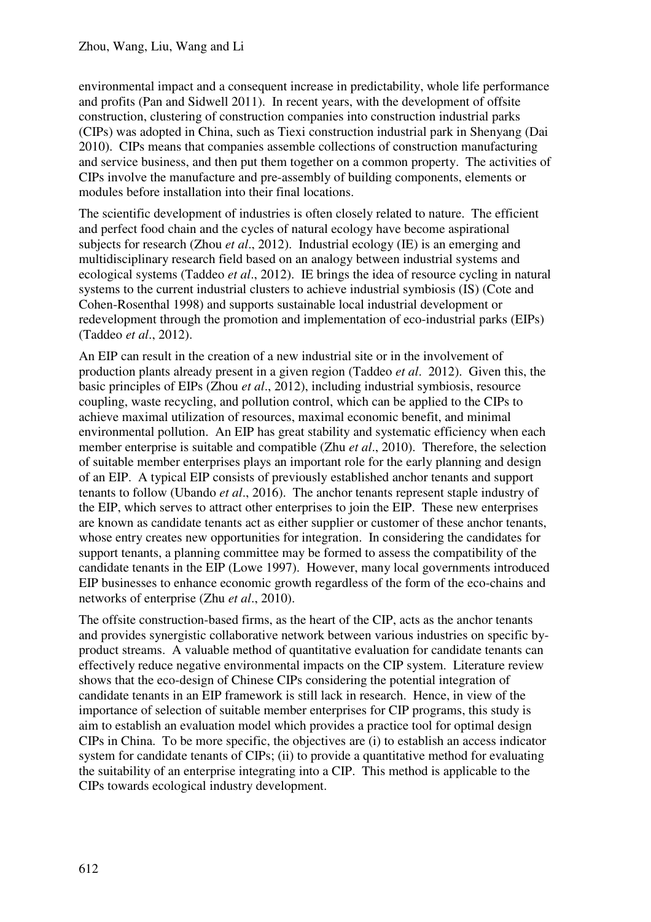environmental impact and a consequent increase in predictability, whole life performance and profits (Pan and Sidwell 2011). In recent years, with the development of offsite construction, clustering of construction companies into construction industrial parks (CIPs) was adopted in China, such as Tiexi construction industrial park in Shenyang (Dai 2010). CIPs means that companies assemble collections of construction manufacturing and service business, and then put them together on a common property. The activities of CIPs involve the manufacture and pre-assembly of building components, elements or modules before installation into their final locations.

The scientific development of industries is often closely related to nature. The efficient and perfect food chain and the cycles of natural ecology have become aspirational subjects for research (Zhou *et al*., 2012). Industrial ecology (IE) is an emerging and multidisciplinary research field based on an analogy between industrial systems and ecological systems (Taddeo *et al*., 2012). IE brings the idea of resource cycling in natural systems to the current industrial clusters to achieve industrial symbiosis (IS) (Cote and Cohen-Rosenthal 1998) and supports sustainable local industrial development or redevelopment through the promotion and implementation of eco-industrial parks (EIPs) (Taddeo *et al*., 2012).

An EIP can result in the creation of a new industrial site or in the involvement of production plants already present in a given region (Taddeo *et al*. 2012). Given this, the basic principles of EIPs (Zhou *et al*., 2012), including industrial symbiosis, resource coupling, waste recycling, and pollution control, which can be applied to the CIPs to achieve maximal utilization of resources, maximal economic benefit, and minimal environmental pollution. An EIP has great stability and systematic efficiency when each member enterprise is suitable and compatible (Zhu *et al*., 2010). Therefore, the selection of suitable member enterprises plays an important role for the early planning and design of an EIP. A typical EIP consists of previously established anchor tenants and support tenants to follow (Ubando *et al*., 2016). The anchor tenants represent staple industry of the EIP, which serves to attract other enterprises to join the EIP. These new enterprises are known as candidate tenants act as either supplier or customer of these anchor tenants, whose entry creates new opportunities for integration. In considering the candidates for support tenants, a planning committee may be formed to assess the compatibility of the candidate tenants in the EIP (Lowe 1997). However, many local governments introduced EIP businesses to enhance economic growth regardless of the form of the eco-chains and networks of enterprise (Zhu *et al*., 2010).

The offsite construction-based firms, as the heart of the CIP, acts as the anchor tenants and provides synergistic collaborative network between various industries on specific byproduct streams. A valuable method of quantitative evaluation for candidate tenants can effectively reduce negative environmental impacts on the CIP system. Literature review shows that the eco-design of Chinese CIPs considering the potential integration of candidate tenants in an EIP framework is still lack in research. Hence, in view of the importance of selection of suitable member enterprises for CIP programs, this study is aim to establish an evaluation model which provides a practice tool for optimal design CIPs in China. To be more specific, the objectives are (i) to establish an access indicator system for candidate tenants of CIPs; (ii) to provide a quantitative method for evaluating the suitability of an enterprise integrating into a CIP. This method is applicable to the CIPs towards ecological industry development.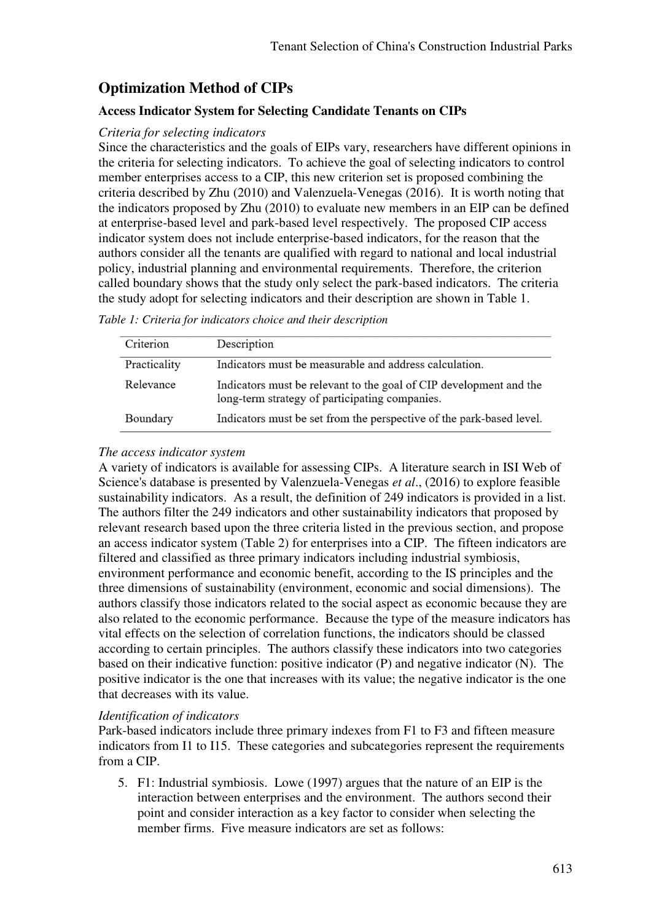# **Optimization Method of CIPs**

## **Access Indicator System for Selecting Candidate Tenants on CIPs**

### *Criteria for selecting indicators*

Since the characteristics and the goals of EIPs vary, researchers have different opinions in the criteria for selecting indicators. To achieve the goal of selecting indicators to control member enterprises access to a CIP, this new criterion set is proposed combining the criteria described by Zhu (2010) and Valenzuela-Venegas (2016). It is worth noting that the indicators proposed by Zhu (2010) to evaluate new members in an EIP can be defined at enterprise-based level and park-based level respectively. The proposed CIP access indicator system does not include enterprise-based indicators, for the reason that the authors consider all the tenants are qualified with regard to national and local industrial policy, industrial planning and environmental requirements. Therefore, the criterion called boundary shows that the study only select the park-based indicators. The criteria the study adopt for selecting indicators and their description are shown in Table 1.

*Table 1: Criteria for indicators choice and their description* 

| Criterion    | Description                                                                                                          |
|--------------|----------------------------------------------------------------------------------------------------------------------|
| Practicality | Indicators must be measurable and address calculation.                                                               |
| Relevance    | Indicators must be relevant to the goal of CIP development and the<br>long-term strategy of participating companies. |
| Boundary     | Indicators must be set from the perspective of the park-based level.                                                 |

#### *The access indicator system*

A variety of indicators is available for assessing CIPs. A literature search in ISI Web of Science's database is presented by Valenzuela-Venegas *et al*., (2016) to explore feasible sustainability indicators. As a result, the definition of 249 indicators is provided in a list. The authors filter the 249 indicators and other sustainability indicators that proposed by relevant research based upon the three criteria listed in the previous section, and propose an access indicator system (Table 2) for enterprises into a CIP. The fifteen indicators are filtered and classified as three primary indicators including industrial symbiosis, environment performance and economic benefit, according to the IS principles and the three dimensions of sustainability (environment, economic and social dimensions). The authors classify those indicators related to the social aspect as economic because they are also related to the economic performance. Because the type of the measure indicators has vital effects on the selection of correlation functions, the indicators should be classed according to certain principles. The authors classify these indicators into two categories based on their indicative function: positive indicator (P) and negative indicator (N). The positive indicator is the one that increases with its value; the negative indicator is the one that decreases with its value.

#### *Identification of indicators*

Park-based indicators include three primary indexes from F1 to F3 and fifteen measure indicators from I1 to I15. These categories and subcategories represent the requirements from a CIP.

5. F1: Industrial symbiosis. Lowe (1997) argues that the nature of an EIP is the interaction between enterprises and the environment. The authors second their point and consider interaction as a key factor to consider when selecting the member firms. Five measure indicators are set as follows: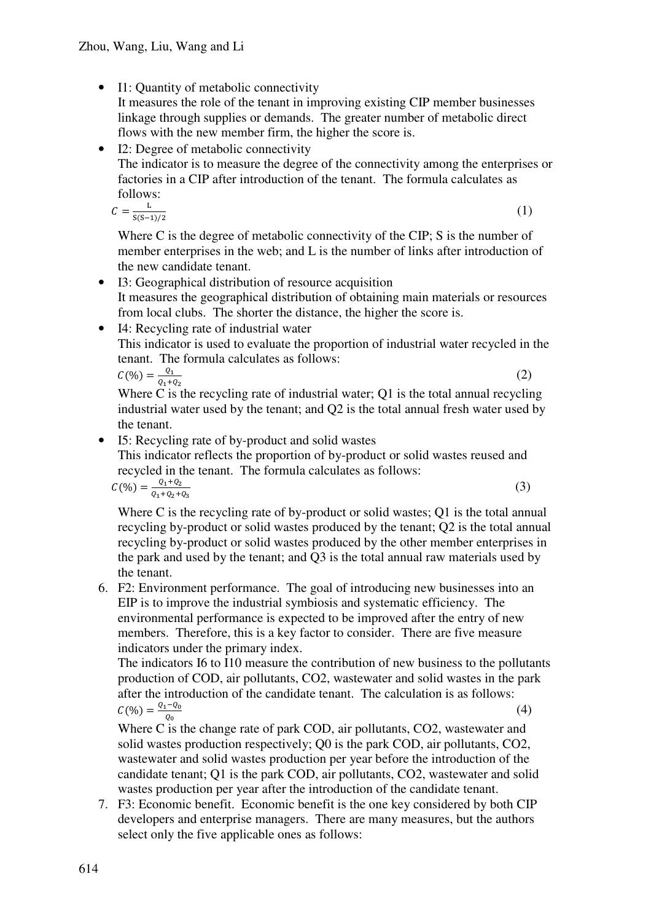• I1: Quantity of metabolic connectivity

It measures the role of the tenant in improving existing CIP member businesses linkage through supplies or demands. The greater number of metabolic direct flows with the new member firm, the higher the score is.

• I2: Degree of metabolic connectivity The indicator is to measure the degree of the connectivity among the enterprises or factories in a CIP after introduction of the tenant. The formula calculates as follows:

$$
C=\frac{L}{S(S-1)/2}
$$

(1)

Where C is the degree of metabolic connectivity of the CIP; S is the number of member enterprises in the web; and L is the number of links after introduction of the new candidate tenant.

- I3: Geographical distribution of resource acquisition It measures the geographical distribution of obtaining main materials or resources from local clubs. The shorter the distance, the higher the score is.
- I4: Recycling rate of industrial water This indicator is used to evaluate the proportion of industrial water recycled in the tenant. The formula calculates as follows:

$$
C(\%) = \frac{Q_1}{Q_1 + Q_2}
$$

(2)

Where C is the recycling rate of industrial water; Q1 is the total annual recycling industrial water used by the tenant; and Q2 is the total annual fresh water used by the tenant.

• I5: Recycling rate of by-product and solid wastes

This indicator reflects the proportion of by-product or solid wastes reused and recycled in the tenant. The formula calculates as follows:

$$
C(\%) = \frac{Q_1 + Q_2}{Q_1 + Q_2 + Q_3} \tag{3}
$$

Where C is the recycling rate of by-product or solid wastes; O1 is the total annual recycling by-product or solid wastes produced by the tenant; Q2 is the total annual recycling by-product or solid wastes produced by the other member enterprises in the park and used by the tenant; and Q3 is the total annual raw materials used by the tenant.

6. F2: Environment performance. The goal of introducing new businesses into an EIP is to improve the industrial symbiosis and systematic efficiency. The environmental performance is expected to be improved after the entry of new members. Therefore, this is a key factor to consider. There are five measure indicators under the primary index.

The indicators I6 to I10 measure the contribution of new business to the pollutants production of COD, air pollutants, CO2, wastewater and solid wastes in the park after the introduction of the candidate tenant. The calculation is as follows:  $C(\%) = \frac{Q_1 - Q_0}{\sqrt{Q_1 - Q_0}}$ (4)

Where C is the change rate of park COD, air pollutants, CO2, wastewater and solid wastes production respectively; Q0 is the park COD, air pollutants, CO2, wastewater and solid wastes production per year before the introduction of the candidate tenant; Q1 is the park COD, air pollutants, CO2, wastewater and solid wastes production per year after the introduction of the candidate tenant.

7. F3: Economic benefit. Economic benefit is the one key considered by both CIP developers and enterprise managers. There are many measures, but the authors select only the five applicable ones as follows: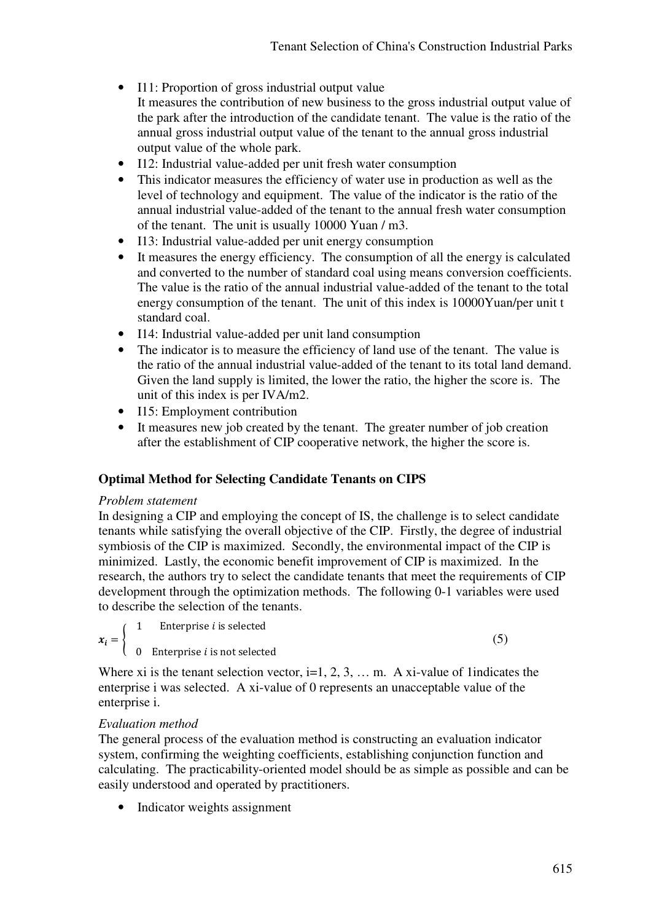- I11: Proportion of gross industrial output value It measures the contribution of new business to the gross industrial output value of the park after the introduction of the candidate tenant. The value is the ratio of the annual gross industrial output value of the tenant to the annual gross industrial output value of the whole park.
- I12: Industrial value-added per unit fresh water consumption
- This indicator measures the efficiency of water use in production as well as the level of technology and equipment. The value of the indicator is the ratio of the annual industrial value-added of the tenant to the annual fresh water consumption of the tenant. The unit is usually 10000 Yuan / m3.
- I13: Industrial value-added per unit energy consumption
- It measures the energy efficiency. The consumption of all the energy is calculated and converted to the number of standard coal using means conversion coefficients. The value is the ratio of the annual industrial value-added of the tenant to the total energy consumption of the tenant. The unit of this index is 10000Yuan/per unit t standard coal.
- I14: Industrial value-added per unit land consumption
- The indicator is to measure the efficiency of land use of the tenant. The value is the ratio of the annual industrial value-added of the tenant to its total land demand. Given the land supply is limited, the lower the ratio, the higher the score is. The unit of this index is per IVA/m2.
- I15: Employment contribution
- It measures new job created by the tenant. The greater number of job creation after the establishment of CIP cooperative network, the higher the score is.

#### **Optimal Method for Selecting Candidate Tenants on CIPS**

#### *Problem statement*

In designing a CIP and employing the concept of IS, the challenge is to select candidate tenants while satisfying the overall objective of the CIP. Firstly, the degree of industrial symbiosis of the CIP is maximized. Secondly, the environmental impact of the CIP is minimized. Lastly, the economic benefit improvement of CIP is maximized. In the research, the authors try to select the candidate tenants that meet the requirements of CIP development through the optimization methods. The following 0-1 variables were used to describe the selection of the tenants.

$$
x_i = \begin{cases} 1 & \text{Enterprise } i \text{ is selected} \\ 1 & \text{Enterprise } i \text{ is selected} \end{cases}
$$

 $(5)$ 

 $0$  Enterprise *i* is not selected

Where xi is the tenant selection vector,  $i=1, 2, 3, \ldots$  m. A xi-value of 1indicates the enterprise i was selected. A xi-value of 0 represents an unacceptable value of the enterprise i.

#### *Evaluation method*

The general process of the evaluation method is constructing an evaluation indicator system, confirming the weighting coefficients, establishing conjunction function and calculating. The practicability-oriented model should be as simple as possible and can be easily understood and operated by practitioners.

• Indicator weights assignment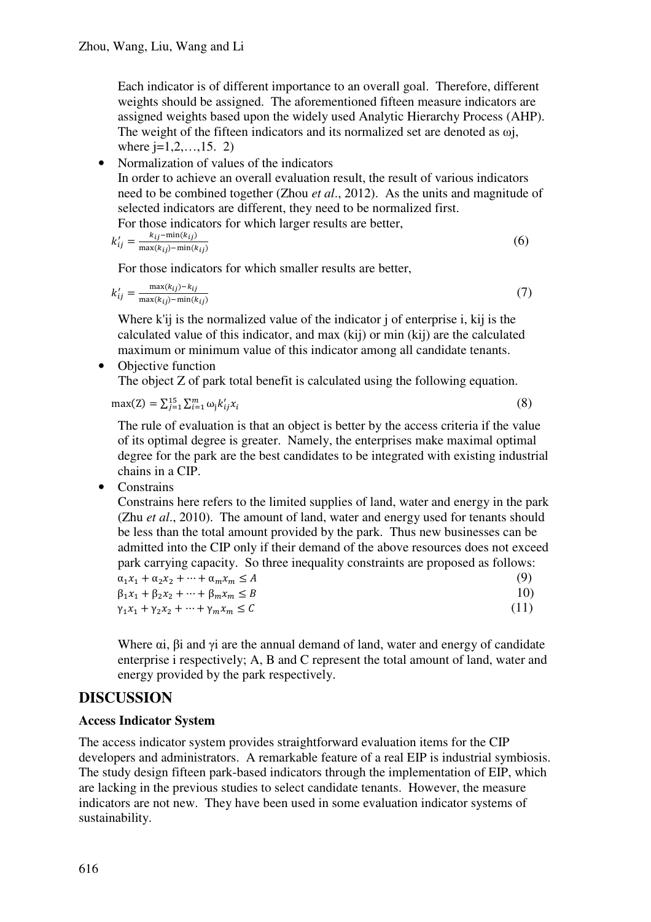Each indicator is of different importance to an overall goal. Therefore, different weights should be assigned. The aforementioned fifteen measure indicators are assigned weights based upon the widely used Analytic Hierarchy Process (AHP). The weight of the fifteen indicators and its normalized set are denoted as ωj, where  $j=1,2,...,15$ . 2)

• Normalization of values of the indicators In order to achieve an overall evaluation result, the result of various indicators need to be combined together (Zhou *et al*., 2012). As the units and magnitude of selected indicators are different, they need to be normalized first. For those indicators for which larger results are better

$$
k'_{ij} = \frac{k_{ij} - \min(k_{ij})}{\max(k_{ij}) - \min(k_{ij})}
$$
 (6)

For those indicators for which smaller results are better,

$$
k'_{ij} = \frac{\max(k_{ij}) - k_{ij}}{\max(k_{ij}) - \min(k_{ij})}
$$
(7)

Where k'ij is the normalized value of the indicator j of enterprise i, kij is the calculated value of this indicator, and max (kij) or min (kij) are the calculated maximum or minimum value of this indicator among all candidate tenants.

• Objective function The object Z of park total benefit is calculated using the following equation.

$$
\max(Z) = \sum_{j=1}^{15} \sum_{i=1}^{m} \omega_j k'_{ij} x_i
$$
 (8)

The rule of evaluation is that an object is better by the access criteria if the value of its optimal degree is greater. Namely, the enterprises make maximal optimal degree for the park are the best candidates to be integrated with existing industrial chains in a CIP.

• Constrains

Constrains here refers to the limited supplies of land, water and energy in the park (Zhu *et al*., 2010). The amount of land, water and energy used for tenants should be less than the total amount provided by the park. Thus new businesses can be admitted into the CIP only if their demand of the above resources does not exceed park carrying capacity. So three inequality constraints are proposed as follows:

| $\alpha_1 x_1 + \alpha_2 x_2 + \cdots + \alpha_m x_m \leq A$ | (9)  |
|--------------------------------------------------------------|------|
| $\beta_1 x_1 + \beta_2 x_2 + \cdots + \beta_m x_m \leq B$    | 10)  |
| $\gamma_1 x_1 + \gamma_2 x_2 + \cdots + \gamma_m x_m \leq C$ | (11) |

Where  $\alpha i$ ,  $\beta i$  and  $\gamma i$  are the annual demand of land, water and energy of candidate enterprise i respectively; A, B and C represent the total amount of land, water and energy provided by the park respectively.

## **DISCUSSION**

#### **Access Indicator System**

The access indicator system provides straightforward evaluation items for the CIP developers and administrators. A remarkable feature of a real EIP is industrial symbiosis. The study design fifteen park-based indicators through the implementation of EIP, which are lacking in the previous studies to select candidate tenants. However, the measure indicators are not new. They have been used in some evaluation indicator systems of sustainability.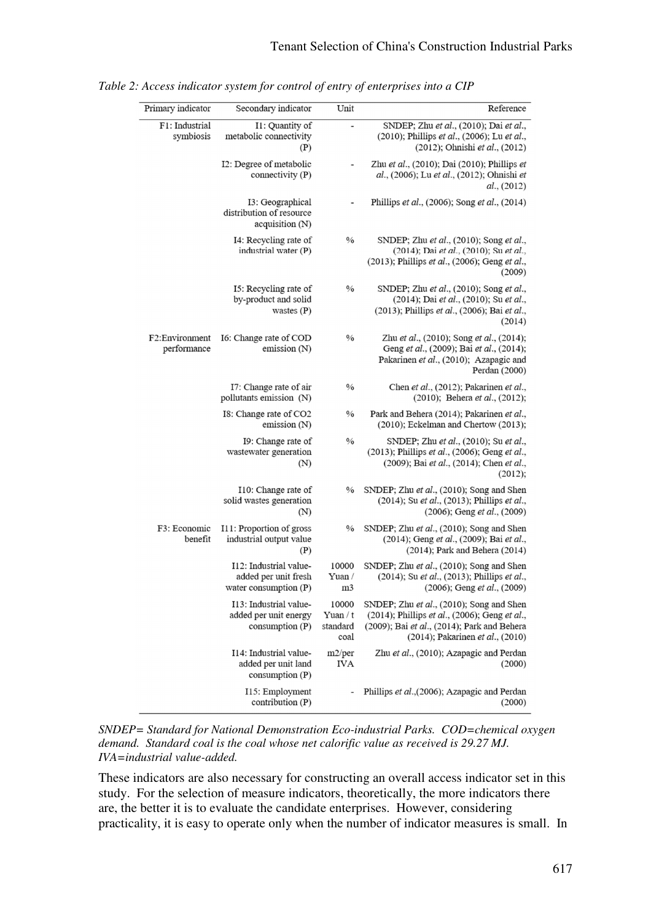| Reference                                                                                                                                                                    | Unit                                  | Secondary indicator                                                     | Primary indicator             |
|------------------------------------------------------------------------------------------------------------------------------------------------------------------------------|---------------------------------------|-------------------------------------------------------------------------|-------------------------------|
| SNDEP; Zhu et al., (2010); Dai et al.,<br>(2010); Phillips et al., (2006); Lu et al.,<br>$(2012)$ ; Ohnishi et al., $(2012)$                                                 | $\overline{\phantom{0}}$              | I1: Quantity of<br>metabolic connectivity<br>(P)                        | F1: Industrial<br>symbiosis   |
| Zhu et al., (2010); Dai (2010); Phillips et<br>al., (2006); Lu et al., (2012); Ohnishi et<br>al., (2012)                                                                     | $\overline{\phantom{0}}$              | I2: Degree of metabolic<br>connectivity $(P)$                           |                               |
| Phillips et al., (2006); Song et al., (2014)                                                                                                                                 |                                       | I3: Geographical<br>distribution of resource<br>acquisition (N)         |                               |
| SNDEP; Zhu et al., (2010); Song et al.,<br>(2014); Dai et al., (2010); Su et al.,<br>(2013); Phillips et al., (2006); Geng et al.,<br>(2009)                                 | $\frac{0}{0}$                         | I4: Recycling rate of<br>industrial water (P)                           |                               |
| SNDEP; Zhu et al., (2010); Song et al.,<br>(2014); Dai et al., (2010); Su et al.,<br>(2013); Phillips et al., (2006); Bai et al.,<br>(2014)                                  | $\frac{0}{0}$                         | I5: Recycling rate of<br>by-product and solid<br>wastes $(P)$           |                               |
| Zhu et al., (2010); Song et al., (2014);<br>Geng et al., (2009); Bai et al., (2014);<br>Pakarinen et al., (2010); Azapagic and<br>Perdan (2000)                              | $\frac{0}{0}$                         | I6: Change rate of COD<br>emission $(N)$                                | F2:Environment<br>performance |
| Chen et al., (2012); Pakarinen et al.,<br>$(2010)$ ; Behera <i>et al.</i> , $(2012)$ ;                                                                                       | $\frac{0}{0}$                         | I7: Change rate of air<br>pollutants emission (N)                       |                               |
| Park and Behera (2014); Pakarinen et al.,<br>$(2010)$ ; Eckelman and Chertow $(2013)$ ;                                                                                      | $\%$                                  | I8: Change rate of CO2<br>emission $(N)$                                |                               |
| SNDEP; Zhu et al., (2010); Su et al.,<br>(2013); Phillips et al., (2006); Geng et al.,<br>(2009); Bai et al., (2014); Chen et al.,<br>(2012);                                | $\frac{0}{0}$                         | I9: Change rate of<br>wastewater generation<br>(N)                      |                               |
| SNDEP; Zhu et al., (2010); Song and Shen<br>(2014); Su et al., (2013); Phillips et al.,<br>$(2006)$ ; Geng <i>et al.</i> , $(2009)$                                          | $\%$                                  | I10: Change rate of<br>solid wastes generation<br>(N)                   |                               |
| SNDEP; Zhu et al., (2010); Song and Shen<br>(2014); Geng et al., (2009); Bai et al.,<br>$(2014)$ ; Park and Behera $(2014)$                                                  | $\%$                                  | I11: Proportion of gross<br>industrial output value<br>(P)              | F3: Economic<br>benefit       |
| SNDEP; Zhu et al., (2010); Song and Shen<br>(2014); Su et al., (2013); Phillips et al.,<br>(2006); Geng et al., (2009)                                                       | 10000<br>Yuan /<br>m <sub>3</sub>     | I12: Industrial value-<br>added per unit fresh<br>water consumption (P) |                               |
| SNDEP; Zhu et al., (2010); Song and Shen<br>(2014); Phillips et al., (2006); Geng et al.,<br>(2009); Bai et al., (2014); Park and Behera<br>(2014); Pakarinen et al., (2010) | 10000<br>Yuan / t<br>standard<br>coal | I13: Industrial value-<br>added per unit energy<br>consumption $(P)$    |                               |
| Zhu et al., (2010); Azapagic and Perdan<br>(2000)                                                                                                                            | m2/per<br><b>IVA</b>                  | I14: Industrial value-<br>added per unit land<br>consumption (P)        |                               |
| Phillips et al.,(2006); Azapagic and Perdan<br>(2000)                                                                                                                        | $\qquad \qquad \blacksquare$          | I15: Employment<br>contribution $(P)$                                   |                               |

*Table 2: Access indicator system for control of entry of enterprises into a CIP* 

*SNDEP= Standard for National Demonstration Eco-industrial Parks. COD=chemical oxygen demand. Standard coal is the coal whose net calorific value as received is 29.27 MJ. IVA=industrial value-added.* 

These indicators are also necessary for constructing an overall access indicator set in this study. For the selection of measure indicators, theoretically, the more indicators there are, the better it is to evaluate the candidate enterprises. However, considering practicality, it is easy to operate only when the number of indicator measures is small. In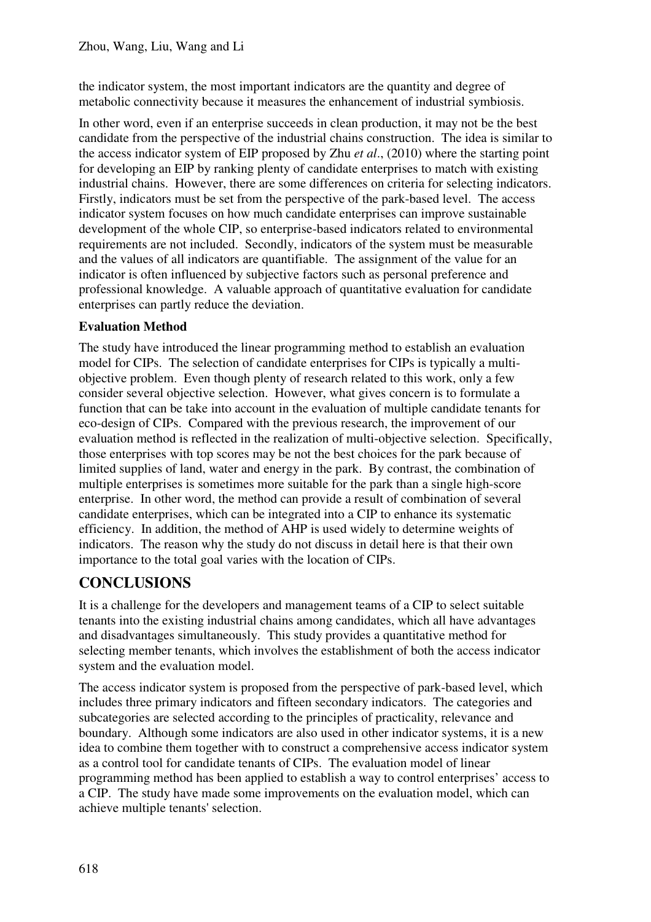the indicator system, the most important indicators are the quantity and degree of metabolic connectivity because it measures the enhancement of industrial symbiosis.

In other word, even if an enterprise succeeds in clean production, it may not be the best candidate from the perspective of the industrial chains construction. The idea is similar to the access indicator system of EIP proposed by Zhu *et al*., (2010) where the starting point for developing an EIP by ranking plenty of candidate enterprises to match with existing industrial chains. However, there are some differences on criteria for selecting indicators. Firstly, indicators must be set from the perspective of the park-based level. The access indicator system focuses on how much candidate enterprises can improve sustainable development of the whole CIP, so enterprise-based indicators related to environmental requirements are not included. Secondly, indicators of the system must be measurable and the values of all indicators are quantifiable. The assignment of the value for an indicator is often influenced by subjective factors such as personal preference and professional knowledge. A valuable approach of quantitative evaluation for candidate enterprises can partly reduce the deviation.

## **Evaluation Method**

The study have introduced the linear programming method to establish an evaluation model for CIPs. The selection of candidate enterprises for CIPs is typically a multiobjective problem. Even though plenty of research related to this work, only a few consider several objective selection. However, what gives concern is to formulate a function that can be take into account in the evaluation of multiple candidate tenants for eco-design of CIPs. Compared with the previous research, the improvement of our evaluation method is reflected in the realization of multi-objective selection. Specifically, those enterprises with top scores may be not the best choices for the park because of limited supplies of land, water and energy in the park. By contrast, the combination of multiple enterprises is sometimes more suitable for the park than a single high-score enterprise. In other word, the method can provide a result of combination of several candidate enterprises, which can be integrated into a CIP to enhance its systematic efficiency. In addition, the method of AHP is used widely to determine weights of indicators. The reason why the study do not discuss in detail here is that their own importance to the total goal varies with the location of CIPs.

## **CONCLUSIONS**

It is a challenge for the developers and management teams of a CIP to select suitable tenants into the existing industrial chains among candidates, which all have advantages and disadvantages simultaneously. This study provides a quantitative method for selecting member tenants, which involves the establishment of both the access indicator system and the evaluation model.

The access indicator system is proposed from the perspective of park-based level, which includes three primary indicators and fifteen secondary indicators. The categories and subcategories are selected according to the principles of practicality, relevance and boundary. Although some indicators are also used in other indicator systems, it is a new idea to combine them together with to construct a comprehensive access indicator system as a control tool for candidate tenants of CIPs. The evaluation model of linear programming method has been applied to establish a way to control enterprises' access to a CIP. The study have made some improvements on the evaluation model, which can achieve multiple tenants' selection.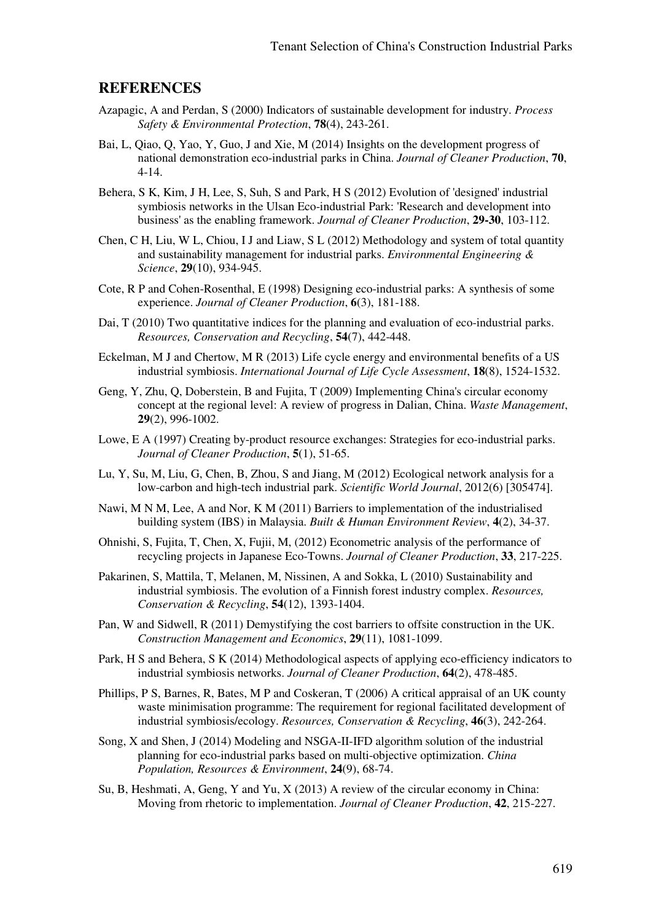#### **REFERENCES**

- Azapagic, A and Perdan, S (2000) Indicators of sustainable development for industry. *Process Safety & Environmental Protection*, **78**(4), 243-261.
- Bai, L, Qiao, Q, Yao, Y, Guo, J and Xie, M (2014) Insights on the development progress of national demonstration eco-industrial parks in China. *Journal of Cleaner Production*, **70**, 4-14.
- Behera, S K, Kim, J H, Lee, S, Suh, S and Park, H S (2012) Evolution of 'designed' industrial symbiosis networks in the Ulsan Eco-industrial Park: 'Research and development into business' as the enabling framework. *Journal of Cleaner Production*, **29-30**, 103-112.
- Chen, C H, Liu, W L, Chiou, I J and Liaw, S L (2012) Methodology and system of total quantity and sustainability management for industrial parks. *Environmental Engineering & Science*, **29**(10), 934-945.
- Cote, R P and Cohen-Rosenthal, E (1998) Designing eco-industrial parks: A synthesis of some experience. *Journal of Cleaner Production*, **6**(3), 181-188.
- Dai, T (2010) Two quantitative indices for the planning and evaluation of eco-industrial parks. *Resources, Conservation and Recycling*, **54**(7), 442-448.
- Eckelman, M J and Chertow, M R (2013) Life cycle energy and environmental benefits of a US industrial symbiosis. *International Journal of Life Cycle Assessment*, **18**(8), 1524-1532.
- Geng, Y, Zhu, Q, Doberstein, B and Fujita, T (2009) Implementing China's circular economy concept at the regional level: A review of progress in Dalian, China. *Waste Management*, **29**(2), 996-1002.
- Lowe, E A (1997) Creating by-product resource exchanges: Strategies for eco-industrial parks. *Journal of Cleaner Production*, **5**(1), 51-65.
- Lu, Y, Su, M, Liu, G, Chen, B, Zhou, S and Jiang, M (2012) Ecological network analysis for a low-carbon and high-tech industrial park. *Scientific World Journal*, 2012(6) [305474].
- Nawi, M N M, Lee, A and Nor, K M (2011) Barriers to implementation of the industrialised building system (IBS) in Malaysia. *Built & Human Environment Review*, **4**(2), 34-37.
- Ohnishi, S, Fujita, T, Chen, X, Fujii, M, (2012) Econometric analysis of the performance of recycling projects in Japanese Eco-Towns. *Journal of Cleaner Production*, **33**, 217-225.
- Pakarinen, S, Mattila, T, Melanen, M, Nissinen, A and Sokka, L (2010) Sustainability and industrial symbiosis. The evolution of a Finnish forest industry complex. *Resources, Conservation & Recycling*, **54**(12), 1393-1404.
- Pan, W and Sidwell, R (2011) Demystifying the cost barriers to offsite construction in the UK. *Construction Management and Economics*, **29**(11), 1081-1099.
- Park, H S and Behera, S K (2014) Methodological aspects of applying eco-efficiency indicators to industrial symbiosis networks. *Journal of Cleaner Production*, **64**(2), 478-485.
- Phillips, P S, Barnes, R, Bates, M P and Coskeran, T (2006) A critical appraisal of an UK county waste minimisation programme: The requirement for regional facilitated development of industrial symbiosis/ecology. *Resources, Conservation & Recycling*, **46**(3), 242-264.
- Song, X and Shen, J (2014) Modeling and NSGA-II-IFD algorithm solution of the industrial planning for eco-industrial parks based on multi-objective optimization. *China Population, Resources & Environment*, **24**(9), 68-74.
- Su, B, Heshmati, A, Geng, Y and Yu, X (2013) A review of the circular economy in China: Moving from rhetoric to implementation. *Journal of Cleaner Production*, **42**, 215-227.